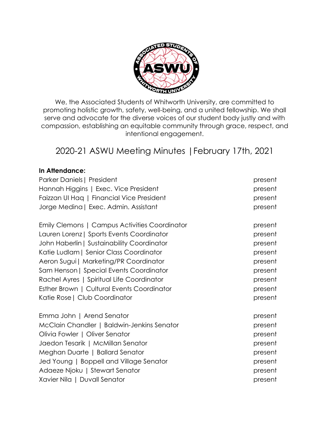

We, the Associated Students of Whitworth University, are committed to promoting holistic growth, safety, well-being, and a united fellowship. We shall serve and advocate for the diverse voices of our student body justly and with compassion, establishing an equitable community through grace, respect, and intentional engagement.

# 2020-21 ASWU Meeting Minutes |February 17th, 2021

#### **In Attendance:**

| Parker Daniels   President                    | present |
|-----------------------------------------------|---------|
| Hannah Higgins   Exec. Vice President         | present |
| Faizzan UI Hag   Financial Vice President     | present |
| Jorge Medina   Exec. Admin. Assistant         | present |
| Emily Clemons   Campus Activities Coordinator | present |
| Lauren Lorenz   Sports Events Coordinator     | present |
| John Haberlin   Sustainability Coordinator    | present |
| Katie Ludlam   Senior Class Coordinator       | present |
| Aeron Sugui   Marketing/PR Coordinator        | present |
| Sam Henson   Special Events Coordinator       | present |
| Rachel Ayres   Spiritual Life Coordinator     | present |
| Esther Brown   Cultural Events Coordinator    | present |
| Katie Rose   Club Coordinator                 | present |
| Emma John   Arend Senator                     | present |
| McClain Chandler   Baldwin-Jenkins Senator    | present |
| Olivia Fowler   Oliver Senator                | present |
| Jaedon Tesarik   McMillan Senator             | present |
| Meghan Duarte   Ballard Senator               | present |
| Jed Young   Boppell and Village Senator       | present |
| Adaeze Njoku   Stewart Senator                | present |
| Xavier Nila   Duvall Senator                  | present |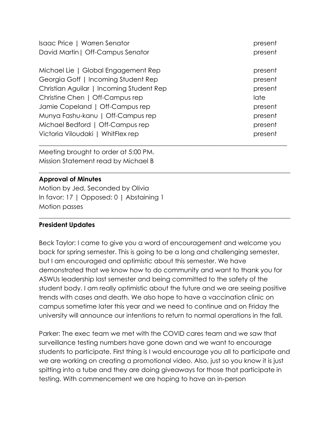| Isaac Price   Warren Senator             | present |
|------------------------------------------|---------|
| David Martin   Off-Campus Senator        | present |
|                                          |         |
| Michael Lie   Global Engagement Rep      | present |
| Georgia Goff   Incoming Student Rep      | present |
| Christian Aguilar   Incoming Student Rep | present |
| Christine Chen   Off-Campus rep          | late    |
| Jamie Copeland   Off-Campus rep          | present |
| Munya Fashu-kanu   Off-Campus rep        | present |
| Michael Bedford   Off-Campus rep         | present |
| Victoria Viloudaki   WhitFlex rep        | present |
|                                          |         |

\_\_\_\_\_\_\_\_\_\_\_\_\_\_\_\_\_\_\_\_\_\_\_\_\_\_\_\_\_\_\_\_\_\_\_\_\_\_\_\_\_\_\_\_\_\_\_\_\_\_\_\_\_\_\_\_\_\_\_\_\_\_\_\_\_\_\_\_\_\_\_\_\_\_\_\_\_\_

 $\_$  , and the set of the set of the set of the set of the set of the set of the set of the set of the set of the set of the set of the set of the set of the set of the set of the set of the set of the set of the set of th

Meeting brought to order at 5:00 PM. Mission Statement read by Michael B

### **Approval of Minutes**

Motion by Jed, Seconded by Olivia In favor: 17 | Opposed: 0 | Abstaining 1 Motion passes

### **President Updates**

Beck Taylor: I came to give you a word of encouragement and welcome you back for spring semester. This is going to be a long and challenging semester, but I am encouraged and optimistic about this semester. We have demonstrated that we know how to do community and want to thank you for ASWUs leadership last semester and being committed to the safety of the student body. I am really optimistic about the future and we are seeing positive trends with cases and death. We also hope to have a vaccination clinic on campus sometime later this year and we need to continue and on Friday the university will announce our intentions to return to normal operations in the fall.

Parker: The exec team we met with the COVID cares team and we saw that surveillance testing numbers have gone down and we want to encourage students to participate. First thing is I would encourage you all to participate and we are working on creating a promotional video. Also, just so you know it is just spitting into a tube and they are doing giveaways for those that participate in testing. With commencement we are hoping to have an in-person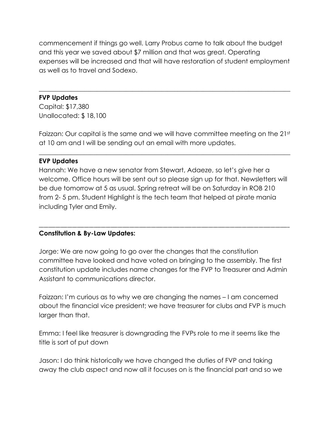commencement if things go well. Larry Probus came to talk about the budget and this year we saved about \$7 million and that was great. Operating expenses will be increased and that will have restoration of student employment as well as to travel and Sodexo.

 $\_$  , and the set of the set of the set of the set of the set of the set of the set of the set of the set of the set of the set of the set of the set of the set of the set of the set of the set of the set of the set of th

### **FVP Updates**

Capital: \$17,380 Unallocated: \$ 18,100

Faizzan: Our capital is the same and we will have committee meeting on the 21st at 10 am and I will be sending out an email with more updates.

 $\_$  , and the set of the set of the set of the set of the set of the set of the set of the set of the set of the set of the set of the set of the set of the set of the set of the set of the set of the set of the set of th

### **EVP Updates**

Hannah: We have a new senator from Stewart, Adaeze, so let's give her a welcome. Office hours will be sent out so please sign up for that. Newsletters will be due tomorrow at 5 as usual. Spring retreat will be on Saturday in ROB 210 from 2- 5 pm. Student Highlight is the tech team that helped at pirate mania including Tyler and Emily.

\_\_\_\_\_\_\_\_\_\_\_\_\_\_\_\_\_\_\_\_\_\_\_\_\_\_\_\_\_\_\_\_\_\_\_\_\_\_\_\_\_\_\_\_\_\_\_\_\_\_\_\_\_\_\_\_\_\_\_\_\_\_\_\_\_\_\_\_\_\_\_\_\_\_\_\_\_\_\_\_\_\_\_\_\_\_\_\_\_\_\_\_\_\_\_\_\_\_\_\_\_\_\_\_\_

# **Constitution & By-Law Updates:**

Jorge: We are now going to go over the changes that the constitution committee have looked and have voted on bringing to the assembly. The first constitution update includes name changes for the FVP to Treasurer and Admin Assistant to communications director.

Faizzan: I'm curious as to why we are changing the names – I am concerned about the financial vice president; we have treasurer for clubs and FVP is much larger than that.

Emma: I feel like treasurer is downgrading the FVPs role to me it seems like the title is sort of put down

Jason: I do think historically we have changed the duties of FVP and taking away the club aspect and now all it focuses on is the financial part and so we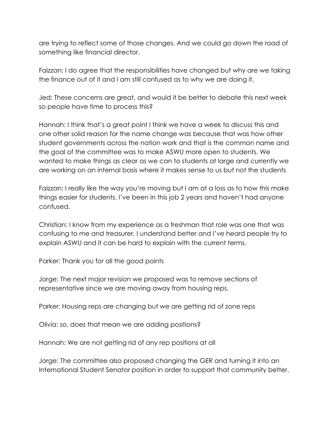are trying to reflect some of those changes. And we could go down the road of something like financial director.

Faizzan: I do agree that the responsibilities have changed but why are we taking the finance out of it and I am still confused as to why we are doing it.

Jed: These concerns are great, and would it be better to debate this next week so people have time to process this?

Hannah: I think that's a great point I think we have a week to discuss this and one other solid reason for the name change was because that was how other student governments across the nation work and that is the common name and the goal of the committee was to make ASWU more open to students. We wanted to make things as clear as we can to students at large and currently we are working on an internal basis where it makes sense to us but not the students

Faizzan: I really like the way you're moving but I am at a loss as to how this make things easier for students. I've been in this job 2 years and haven't had anyone confused.

Christian: I know from my experience as a freshman that role was one that was confusing to me and treasurer, I understand better and I've heard people try to explain ASWU and it can be hard to explain with the current terms.

Parker: Thank you for all the good points

Jorge: The next major revision we proposed was to remove sections of representative since we are moving away from housing reps.

Parker: Housing reps are changing but we are getting rid of zone reps

Olivia: so, does that mean we are adding positions?

Hannah: We are not getting rid of any rep positions at all

Jorge: The committee also proposed changing the GER and turning it into an International Student Senator position in order to support that community better.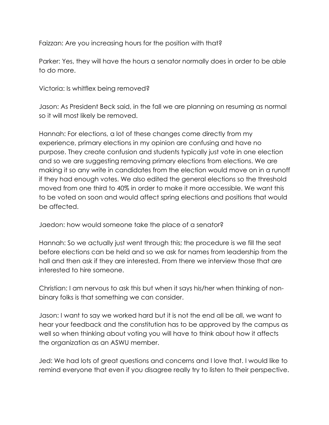Faizzan: Are you increasing hours for the position with that?

Parker: Yes, they will have the hours a senator normally does in order to be able to do more.

Victoria: Is whitflex being removed?

Jason: As President Beck said, in the fall we are planning on resuming as normal so it will most likely be removed.

Hannah: For elections, a lot of these changes come directly from my experience, primary elections in my opinion are confusing and have no purpose. They create confusion and students typically just vote in one election and so we are suggesting removing primary elections from elections. We are making it so any write in candidates from the election would move on in a runoff if they had enough votes. We also edited the general elections so the threshold moved from one third to 40% in order to make it more accessible. We want this to be voted on soon and would affect spring elections and positions that would be affected.

Jaedon: how would someone take the place of a senator?

Hannah: So we actually just went through this; the procedure is we fill the seat before elections can be held and so we ask for names from leadership from the hall and then ask if they are interested. From there we interview those that are interested to hire someone.

Christian: I am nervous to ask this but when it says his/her when thinking of nonbinary folks is that something we can consider.

Jason: I want to say we worked hard but it is not the end all be all, we want to hear your feedback and the constitution has to be approved by the campus as well so when thinking about voting you will have to think about how it affects the organization as an ASWU member.

Jed: We had lots of great questions and concerns and I love that. I would like to remind everyone that even if you disagree really try to listen to their perspective.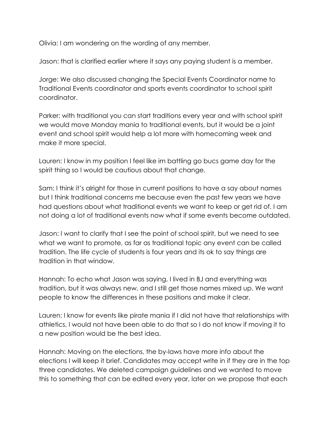Olivia: I am wondering on the wording of any member.

Jason: that is clarified earlier where it says any paying student is a member.

Jorge: We also discussed changing the Special Events Coordinator name to Traditional Events coordinator and sports events coordinator to school spirit coordinator.

Parker: with traditional you can start traditions every year and with school spirit we would move Monday mania to traditional events, but it would be a joint event and school spirit would help a lot more with homecoming week and make it more special.

Lauren: I know in my position I feel like im battling go bucs game day for the spirit thing so I would be cautious about that change.

Sam: I think it's alright for those in current positions to have a say about names but I think traditional concerns me because even the past few years we have had questions about what traditional events we want to keep or get rid of. I am not doing a lot of traditional events now what if some events become outdated.

Jason: I want to clarify that I see the point of school spirit, but we need to see what we want to promote, as far as traditional topic any event can be called tradition. The life cycle of students is four years and its ok to say things are tradition in that window.

Hannah: To echo what Jason was saying, I lived in BJ and everything was tradition, but it was always new, and I still get those names mixed up. We want people to know the differences in these positions and make it clear.

Lauren: I know for events like pirate mania if I did not have that relationships with athletics, I would not have been able to do that so I do not know if moving it to a new position would be the best idea.

Hannah: Moving on the elections, the by-laws have more info about the elections I will keep it brief. Candidates may accept write in if they are in the top three candidates. We deleted campaign guidelines and we wanted to move this to something that can be edited every year, later on we propose that each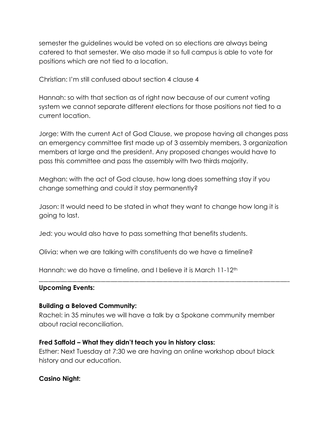semester the guidelines would be voted on so elections are always being catered to that semester. We also made it so full campus is able to vote for positions which are not tied to a location.

Christian: I'm still confused about section 4 clause 4

Hannah: so with that section as of right now because of our current voting system we cannot separate different elections for those positions not tied to a current location.

Jorge: With the current Act of God Clause, we propose having all changes pass an emergency committee first made up of 3 assembly members, 3 organization members at large and the president. Any proposed changes would have to pass this committee and pass the assembly with two thirds majority.

Meghan: with the act of God clause, how long does something stay if you change something and could it stay permanently?

Jason: It would need to be stated in what they want to change how long it is going to last.

Jed: you would also have to pass something that benefits students.

Olivia: when we are talking with constituents do we have a timeline?

Hannah: we do have a timeline, and I believe it is March 11-12<sup>th</sup>

#### **Upcoming Events:**

#### **Building a Beloved Community:**

Rachel: in 35 minutes we will have a talk by a Spokane community member about racial reconciliation.

\_\_\_\_\_\_\_\_\_\_\_\_\_\_\_\_\_\_\_\_\_\_\_\_\_\_\_\_\_\_\_\_\_\_\_\_\_\_\_\_\_\_\_\_\_\_\_\_\_\_\_\_\_\_\_\_\_\_\_\_\_\_\_\_\_\_\_\_\_\_\_\_\_\_\_\_\_\_\_\_\_\_\_\_\_\_\_\_\_\_\_\_\_\_\_\_\_\_\_\_\_\_\_\_\_

### **Fred Saffold – What they didn't teach you in history class:**

Esther: Next Tuesday at 7:30 we are having an online workshop about black history and our education.

### **Casino Night:**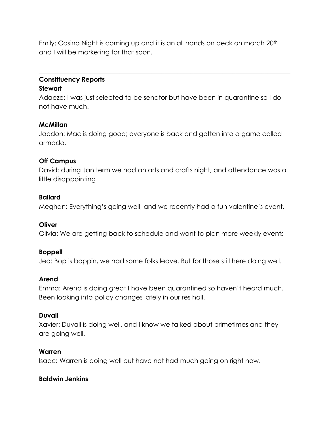Emily: Casino Night is coming up and it is an all hands on deck on march 20th and I will be marketing for that soon.

### **Constituency Reports Stewart**

Adaeze: I was just selected to be senator but have been in quarantine so I do not have much.

 $\_$  , and the set of the set of the set of the set of the set of the set of the set of the set of the set of the set of the set of the set of the set of the set of the set of the set of the set of the set of the set of th

### **McMillan**

Jaedon: Mac is doing good; everyone is back and gotten into a game called armada.

### **Off Campus**

David: during Jan term we had an arts and crafts night, and attendance was a little disappointing

# **Ballard**

Meghan: Everything's going well, and we recently had a fun valentine's event.

### **Oliver**

Olivia: We are getting back to schedule and want to plan more weekly events

# **Boppell**

Jed: Bop is boppin, we had some folks leave. But for those still here doing well.

# **Arend**

Emma: Arend is doing great I have been quarantined so haven't heard much. Been looking into policy changes lately in our res hall.

# **Duvall**

Xavier: Duvall is doing well, and I know we talked about primetimes and they are going well.

# **Warren**

Isaac**:** Warren is doing well but have not had much going on right now.

# **Baldwin Jenkins**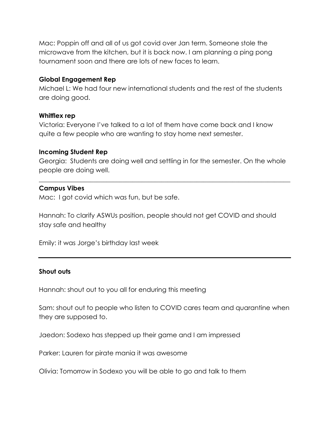Mac: Poppin off and all of us got covid over Jan term. Someone stole the microwave from the kitchen, but it is back now. I am planning a ping pong tournament soon and there are lots of new faces to learn.

#### **Global Engagement Rep**

Michael L: We had four new international students and the rest of the students are doing good.

#### **Whitflex rep**

Victoria: Everyone I've talked to a lot of them have come back and I know quite a few people who are wanting to stay home next semester.

#### **Incoming Student Rep**

Georgia: Students are doing well and settling in for the semester. On the whole people are doing well.

 $\_$  , and the set of the set of the set of the set of the set of the set of the set of the set of the set of the set of the set of the set of the set of the set of the set of the set of the set of the set of the set of th

#### **Campus Vibes**

Mac: I got covid which was fun, but be safe.

Hannah: To clarify ASWUs position, people should not get COVID and should stay safe and healthy

Emily: it was Jorge's birthday last week

### **Shout outs**

Hannah: shout out to you all for enduring this meeting

Sam: shout out to people who listen to COVID cares team and quarantine when they are supposed to.

Jaedon: Sodexo has stepped up their game and I am impressed

Parker: Lauren for pirate mania it was awesome

Olivia: Tomorrow in Sodexo you will be able to go and talk to them